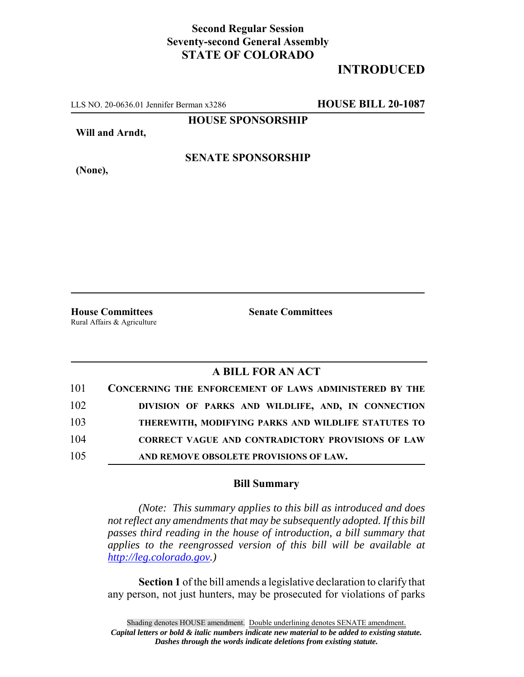## **Second Regular Session Seventy-second General Assembly STATE OF COLORADO**

# **INTRODUCED**

LLS NO. 20-0636.01 Jennifer Berman x3286 **HOUSE BILL 20-1087**

**HOUSE SPONSORSHIP**

**Will and Arndt,**

**(None),**

#### **SENATE SPONSORSHIP**

Rural Affairs & Agriculture

**House Committees Senate Committees**

### **A BILL FOR AN ACT**

| 101 | <b>CONCERNING THE ENFORCEMENT OF LAWS ADMINISTERED BY THE</b> |
|-----|---------------------------------------------------------------|
| 102 | DIVISION OF PARKS AND WILDLIFE, AND, IN CONNECTION            |
| 103 | THEREWITH, MODIFYING PARKS AND WILDLIFE STATUTES TO           |
| 104 | <b>CORRECT VAGUE AND CONTRADICTORY PROVISIONS OF LAW</b>      |
| 105 | AND REMOVE OBSOLETE PROVISIONS OF LAW.                        |

#### **Bill Summary**

*(Note: This summary applies to this bill as introduced and does not reflect any amendments that may be subsequently adopted. If this bill passes third reading in the house of introduction, a bill summary that applies to the reengrossed version of this bill will be available at http://leg.colorado.gov.)*

**Section 1** of the bill amends a legislative declaration to clarify that any person, not just hunters, may be prosecuted for violations of parks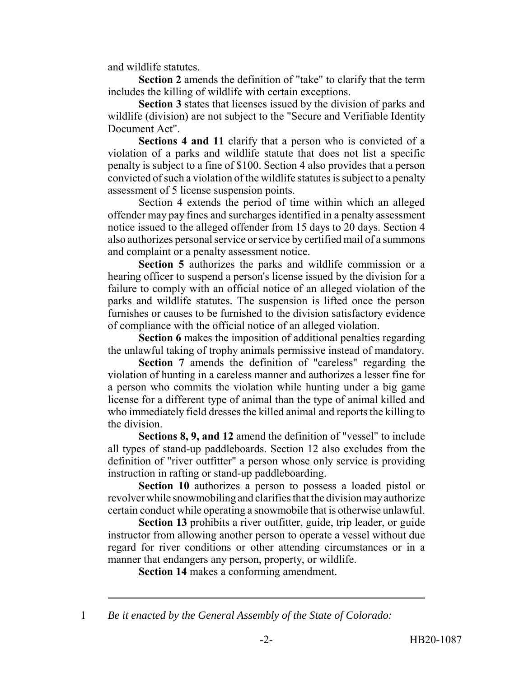and wildlife statutes.

**Section 2** amends the definition of "take" to clarify that the term includes the killing of wildlife with certain exceptions.

**Section 3** states that licenses issued by the division of parks and wildlife (division) are not subject to the "Secure and Verifiable Identity Document Act".

**Sections 4 and 11** clarify that a person who is convicted of a violation of a parks and wildlife statute that does not list a specific penalty is subject to a fine of \$100. Section 4 also provides that a person convicted of such a violation of the wildlife statutes is subject to a penalty assessment of 5 license suspension points.

Section 4 extends the period of time within which an alleged offender may pay fines and surcharges identified in a penalty assessment notice issued to the alleged offender from 15 days to 20 days. Section 4 also authorizes personal service or service by certified mail of a summons and complaint or a penalty assessment notice.

**Section 5** authorizes the parks and wildlife commission or a hearing officer to suspend a person's license issued by the division for a failure to comply with an official notice of an alleged violation of the parks and wildlife statutes. The suspension is lifted once the person furnishes or causes to be furnished to the division satisfactory evidence of compliance with the official notice of an alleged violation.

**Section 6** makes the imposition of additional penalties regarding the unlawful taking of trophy animals permissive instead of mandatory.

**Section 7** amends the definition of "careless" regarding the violation of hunting in a careless manner and authorizes a lesser fine for a person who commits the violation while hunting under a big game license for a different type of animal than the type of animal killed and who immediately field dresses the killed animal and reports the killing to the division.

**Sections 8, 9, and 12** amend the definition of "vessel" to include all types of stand-up paddleboards. Section 12 also excludes from the definition of "river outfitter" a person whose only service is providing instruction in rafting or stand-up paddleboarding.

**Section 10** authorizes a person to possess a loaded pistol or revolver while snowmobiling and clarifies that the division may authorize certain conduct while operating a snowmobile that is otherwise unlawful.

**Section 13** prohibits a river outfitter, guide, trip leader, or guide instructor from allowing another person to operate a vessel without due regard for river conditions or other attending circumstances or in a manner that endangers any person, property, or wildlife.

**Section 14** makes a conforming amendment.

<sup>1</sup> *Be it enacted by the General Assembly of the State of Colorado:*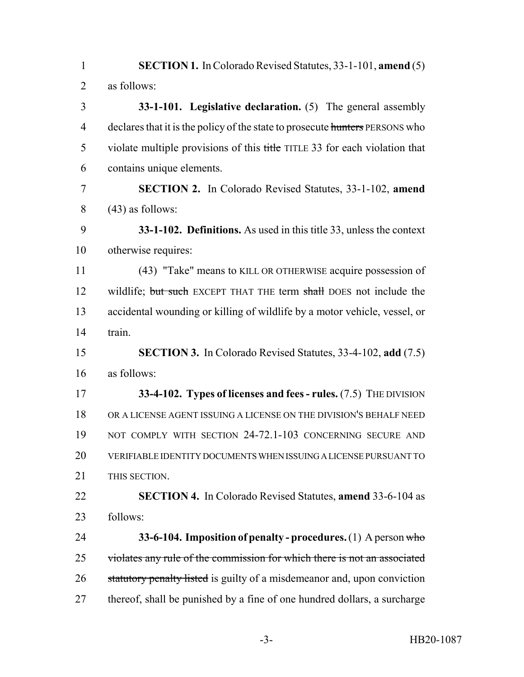**SECTION 1.** In Colorado Revised Statutes, 33-1-101, **amend** (5) as follows: **33-1-101. Legislative declaration.** (5) The general assembly 4 declares that it is the policy of the state to prosecute hunters PERSONS who 5 violate multiple provisions of this title TITLE 33 for each violation that contains unique elements. **SECTION 2.** In Colorado Revised Statutes, 33-1-102, **amend**  $8 \qquad (43)$  as follows: **33-1-102. Definitions.** As used in this title 33, unless the context otherwise requires: (43) "Take" means to KILL OR OTHERWISE acquire possession of 12 wildlife; but such EXCEPT THAT THE term shall DOES not include the accidental wounding or killing of wildlife by a motor vehicle, vessel, or train. **SECTION 3.** In Colorado Revised Statutes, 33-4-102, **add** (7.5) as follows: **33-4-102. Types of licenses and fees - rules.** (7.5) THE DIVISION OR A LICENSE AGENT ISSUING A LICENSE ON THE DIVISION'S BEHALF NEED 19 NOT COMPLY WITH SECTION 24-72.1-103 CONCERNING SECURE AND VERIFIABLE IDENTITY DOCUMENTS WHEN ISSUING A LICENSE PURSUANT TO THIS SECTION. **SECTION 4.** In Colorado Revised Statutes, **amend** 33-6-104 as follows: **33-6-104. Imposition of penalty - procedures.** (1) A person who violates any rule of the commission for which there is not an associated 26 statutory penalty listed is guilty of a misdemeanor and, upon conviction thereof, shall be punished by a fine of one hundred dollars, a surcharge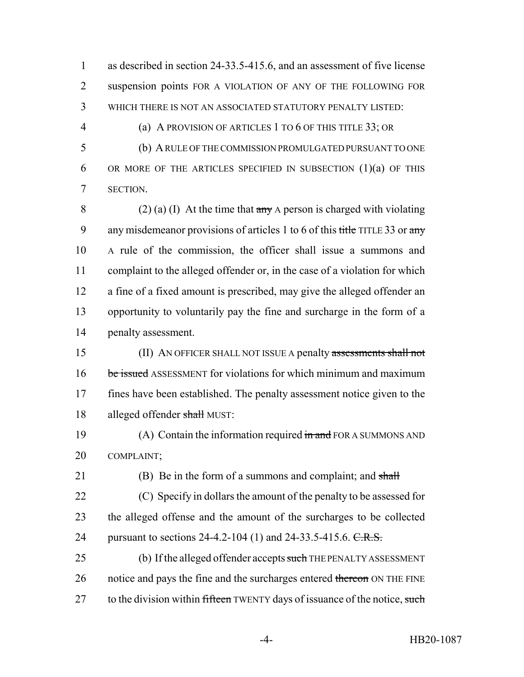1 as described in section 24-33.5-415.6, and an assessment of five license 2 suspension points FOR A VIOLATION OF ANY OF THE FOLLOWING FOR 3 WHICH THERE IS NOT AN ASSOCIATED STATUTORY PENALTY LISTED:

4 (a) A PROVISION OF ARTICLES 1 TO 6 OF THIS TITLE 33; OR

5 (b) A RULE OF THE COMMISSION PROMULGATED PURSUANT TO ONE 6 OR MORE OF THE ARTICLES SPECIFIED IN SUBSECTION  $(1)(a)$  OF THIS 7 SECTION.

8 (2) (a) (I) At the time that  $\frac{1}{2}$  and  $\frac{1}{2}$  are the time that  $\frac{1}{2}$  are A person is charged with violating 9 any misdemeanor provisions of articles 1 to 6 of this title TITLE 33 or any A rule of the commission, the officer shall issue a summons and complaint to the alleged offender or, in the case of a violation for which a fine of a fixed amount is prescribed, may give the alleged offender an opportunity to voluntarily pay the fine and surcharge in the form of a penalty assessment.

15 (II) AN OFFICER SHALL NOT ISSUE A penalty assessments shall not 16 be issued ASSESSMENT for violations for which minimum and maximum 17 fines have been established. The penalty assessment notice given to the 18 alleged offender shall MUST:

19 (A) Contain the information required in and FOR A SUMMONS AND 20 COMPLAINT;

21 (B) Be in the form of a summons and complaint; and shall 22 (C) Specify in dollars the amount of the penalty to be assessed for 23 the alleged offense and the amount of the surcharges to be collected 24 pursuant to sections 24-4.2-104 (1) and 24-33.5-415.6. C.R.S.

25 (b) If the alleged offender accepts such THE PENALTY ASSESSMENT 26 notice and pays the fine and the surcharges entered thereon ON THE FINE 27 to the division within fifteen TWENTY days of issuance of the notice, such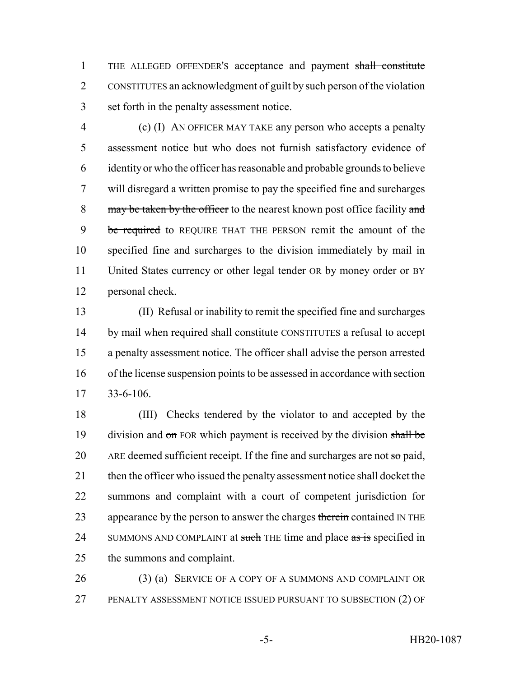THE ALLEGED OFFENDER'S acceptance and payment shall constitute 2 CONSTITUTES an acknowledgment of guilt by such person of the violation set forth in the penalty assessment notice.

 (c) (I) AN OFFICER MAY TAKE any person who accepts a penalty assessment notice but who does not furnish satisfactory evidence of identity or who the officer has reasonable and probable grounds to believe will disregard a written promise to pay the specified fine and surcharges 8 may be taken by the officer to the nearest known post office facility and 9 be required to REQUIRE THAT THE PERSON remit the amount of the specified fine and surcharges to the division immediately by mail in United States currency or other legal tender OR by money order or BY personal check.

 (II) Refusal or inability to remit the specified fine and surcharges 14 by mail when required shall constitute CONSTITUTES a refusal to accept a penalty assessment notice. The officer shall advise the person arrested of the license suspension points to be assessed in accordance with section 33-6-106.

 (III) Checks tendered by the violator to and accepted by the 19 division and on FOR which payment is received by the division shall be 20 ARE deemed sufficient receipt. If the fine and surcharges are not  $\pi$  paid, 21 then the officer who issued the penalty assessment notice shall docket the summons and complaint with a court of competent jurisdiction for 23 appearance by the person to answer the charges therein contained IN THE 24 SUMMONS AND COMPLAINT at such THE time and place as is specified in the summons and complaint.

 (3) (a) SERVICE OF A COPY OF A SUMMONS AND COMPLAINT OR PENALTY ASSESSMENT NOTICE ISSUED PURSUANT TO SUBSECTION (2) OF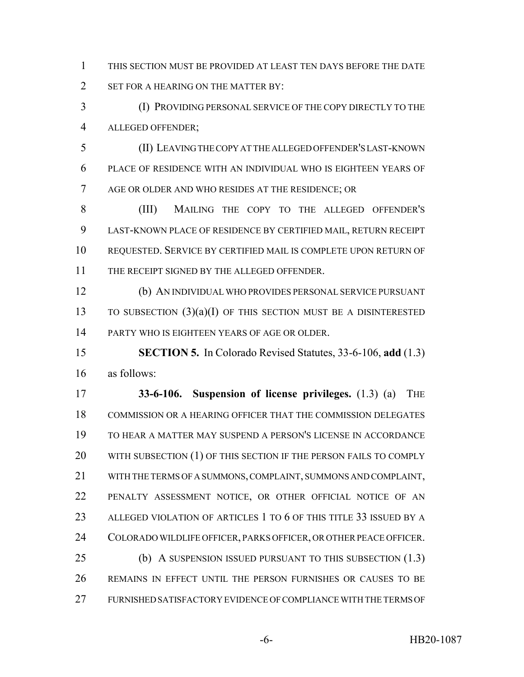THIS SECTION MUST BE PROVIDED AT LEAST TEN DAYS BEFORE THE DATE 2 SET FOR A HEARING ON THE MATTER BY:

 (I) PROVIDING PERSONAL SERVICE OF THE COPY DIRECTLY TO THE ALLEGED OFFENDER;

 (II) LEAVING THE COPY AT THE ALLEGED OFFENDER'S LAST-KNOWN PLACE OF RESIDENCE WITH AN INDIVIDUAL WHO IS EIGHTEEN YEARS OF AGE OR OLDER AND WHO RESIDES AT THE RESIDENCE; OR

 (III) MAILING THE COPY TO THE ALLEGED OFFENDER'S LAST-KNOWN PLACE OF RESIDENCE BY CERTIFIED MAIL, RETURN RECEIPT REQUESTED. SERVICE BY CERTIFIED MAIL IS COMPLETE UPON RETURN OF THE RECEIPT SIGNED BY THE ALLEGED OFFENDER.

 (b) AN INDIVIDUAL WHO PROVIDES PERSONAL SERVICE PURSUANT 13 TO SUBSECTION  $(3)(a)(I)$  OF THIS SECTION MUST BE A DISINTERESTED PARTY WHO IS EIGHTEEN YEARS OF AGE OR OLDER.

 **SECTION 5.** In Colorado Revised Statutes, 33-6-106, **add** (1.3) as follows:

 **33-6-106. Suspension of license privileges.** (1.3) (a) THE COMMISSION OR A HEARING OFFICER THAT THE COMMISSION DELEGATES TO HEAR A MATTER MAY SUSPEND A PERSON'S LICENSE IN ACCORDANCE 20 WITH SUBSECTION (1) OF THIS SECTION IF THE PERSON FAILS TO COMPLY WITH THE TERMS OF A SUMMONS, COMPLAINT, SUMMONS AND COMPLAINT, PENALTY ASSESSMENT NOTICE, OR OTHER OFFICIAL NOTICE OF AN ALLEGED VIOLATION OF ARTICLES 1 TO 6 OF THIS TITLE 33 ISSUED BY A COLORADO WILDLIFE OFFICER, PARKS OFFICER, OR OTHER PEACE OFFICER. (b) A SUSPENSION ISSUED PURSUANT TO THIS SUBSECTION (1.3) REMAINS IN EFFECT UNTIL THE PERSON FURNISHES OR CAUSES TO BE

FURNISHED SATISFACTORY EVIDENCE OF COMPLIANCE WITH THE TERMS OF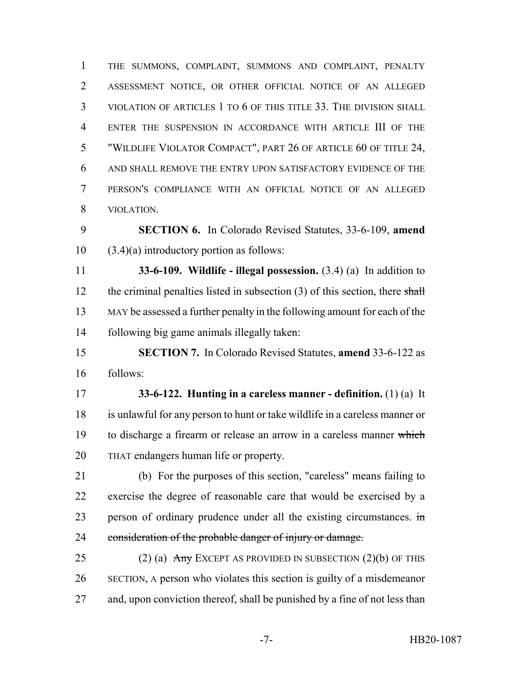THE SUMMONS, COMPLAINT, SUMMONS AND COMPLAINT, PENALTY ASSESSMENT NOTICE, OR OTHER OFFICIAL NOTICE OF AN ALLEGED VIOLATION OF ARTICLES 1 TO 6 OF THIS TITLE 33. THE DIVISION SHALL ENTER THE SUSPENSION IN ACCORDANCE WITH ARTICLE III OF THE "WILDLIFE VIOLATOR COMPACT", PART 26 OF ARTICLE 60 OF TITLE 24, AND SHALL REMOVE THE ENTRY UPON SATISFACTORY EVIDENCE OF THE PERSON'S COMPLIANCE WITH AN OFFICIAL NOTICE OF AN ALLEGED VIOLATION.

 **SECTION 6.** In Colorado Revised Statutes, 33-6-109, **amend**  $10 \quad (3.4)(a)$  introductory portion as follows:

 **33-6-109. Wildlife - illegal possession.** (3.4) (a) In addition to 12 the criminal penalties listed in subsection  $(3)$  of this section, there shall MAY be assessed a further penalty in the following amount for each of the following big game animals illegally taken:

 **SECTION 7.** In Colorado Revised Statutes, **amend** 33-6-122 as follows:

 **33-6-122. Hunting in a careless manner - definition.** (1) (a) It is unlawful for any person to hunt or take wildlife in a careless manner or 19 to discharge a firearm or release an arrow in a careless manner which THAT endangers human life or property.

 (b) For the purposes of this section, "careless" means failing to exercise the degree of reasonable care that would be exercised by a 23 person of ordinary prudence under all the existing circumstances. in 24 consideration of the probable danger of injury or damage.

25 (2) (a)  $\overline{Any}$  EXCEPT AS PROVIDED IN SUBSECTION (2)(b) OF THIS SECTION, A person who violates this section is guilty of a misdemeanor and, upon conviction thereof, shall be punished by a fine of not less than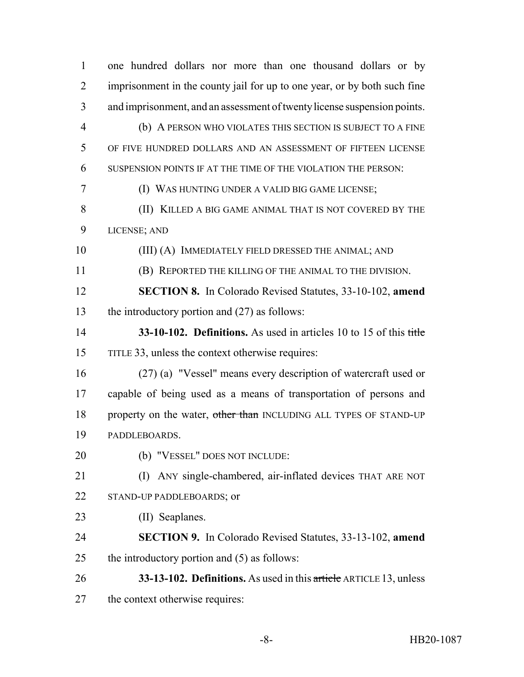| 1              | one hundred dollars nor more than one thousand dollars or by             |
|----------------|--------------------------------------------------------------------------|
| 2              | imprisonment in the county jail for up to one year, or by both such fine |
| 3              | and imprisonment, and an assessment of twenty license suspension points. |
| $\overline{4}$ | (b) A PERSON WHO VIOLATES THIS SECTION IS SUBJECT TO A FINE              |
| 5              | OF FIVE HUNDRED DOLLARS AND AN ASSESSMENT OF FIFTEEN LICENSE             |
| 6              | SUSPENSION POINTS IF AT THE TIME OF THE VIOLATION THE PERSON:            |
| 7              | (I) WAS HUNTING UNDER A VALID BIG GAME LICENSE;                          |
| 8              | (II) KILLED A BIG GAME ANIMAL THAT IS NOT COVERED BY THE                 |
| 9              | LICENSE; AND                                                             |
| 10             | (III) (A) IMMEDIATELY FIELD DRESSED THE ANIMAL; AND                      |
| 11             | (B) REPORTED THE KILLING OF THE ANIMAL TO THE DIVISION.                  |
| 12             | <b>SECTION 8.</b> In Colorado Revised Statutes, 33-10-102, amend         |
| 13             | the introductory portion and $(27)$ as follows:                          |
| 14             | 33-10-102. Definitions. As used in articles 10 to 15 of this title       |
| 15             | TITLE 33, unless the context otherwise requires:                         |
| 16             | (27) (a) "Vessel" means every description of watercraft used or          |
| 17             | capable of being used as a means of transportation of persons and        |
| 18             | property on the water, other than INCLUDING ALL TYPES OF STAND-UP        |
| 19             | PADDLEBOARDS.                                                            |
| 20             | (b) "VESSEL" DOES NOT INCLUDE:                                           |
| 21             | ANY single-chambered, air-inflated devices THAT ARE NOT<br>(I)           |
| 22             | STAND-UP PADDLEBOARDS; or                                                |
| 23             | (II) Seaplanes.                                                          |
| 24             | <b>SECTION 9.</b> In Colorado Revised Statutes, 33-13-102, amend         |
| 25             | the introductory portion and $(5)$ as follows:                           |
| 26             | 33-13-102. Definitions. As used in this article ARTICLE 13, unless       |
| 27             | the context otherwise requires:                                          |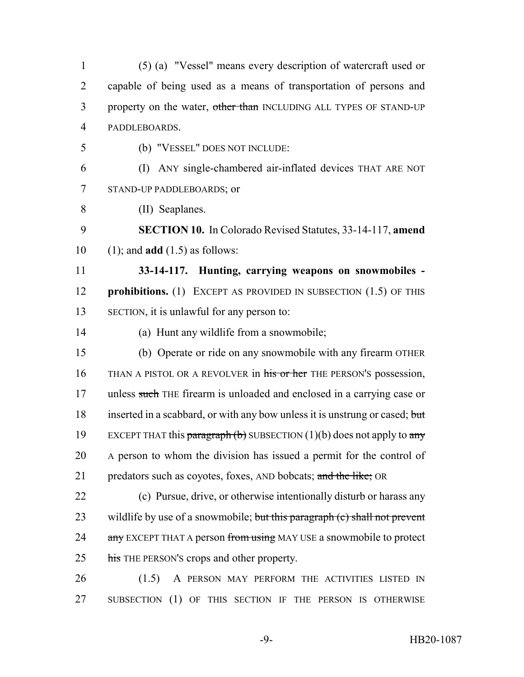(5) (a) "Vessel" means every description of watercraft used or capable of being used as a means of transportation of persons and 3 property on the water, other than INCLUDING ALL TYPES OF STAND-UP PADDLEBOARDS.

5 (b) "VESSEL" DOES NOT INCLUDE:

6 (I) ANY single-chambered air-inflated devices THAT ARE NOT 7 STAND-UP PADDLEBOARDS; or

8 (II) Seaplanes.

9 **SECTION 10.** In Colorado Revised Statutes, 33-14-117, **amend** 10 (1); and **add** (1.5) as follows:

11 **33-14-117. Hunting, carrying weapons on snowmobiles -** 12 **prohibitions.** (1) EXCEPT AS PROVIDED IN SUBSECTION (1.5) OF THIS 13 SECTION, it is unlawful for any person to:

14 (a) Hunt any wildlife from a snowmobile;

15 (b) Operate or ride on any snowmobile with any firearm OTHER 16 THAN A PISTOL OR A REVOLVER in his or her THE PERSON'S possession, 17 unless such THE firearm is unloaded and enclosed in a carrying case or 18 inserted in a scabbard, or with any bow unless it is unstrung or cased; but 19 EXCEPT THAT this paragraph (b) SUBSECTION (1)(b) does not apply to any 20 A person to whom the division has issued a permit for the control of 21 predators such as coyotes, foxes, AND bobcats; and the like; OR

22 (c) Pursue, drive, or otherwise intentionally disturb or harass any 23 wildlife by use of a snowmobile; but this paragraph (c) shall not prevent 24 any EXCEPT THAT A person from using MAY USE a snowmobile to protect 25 his THE PERSON'S crops and other property.

26 (1.5) A PERSON MAY PERFORM THE ACTIVITIES LISTED IN 27 SUBSECTION (1) OF THIS SECTION IF THE PERSON IS OTHERWISE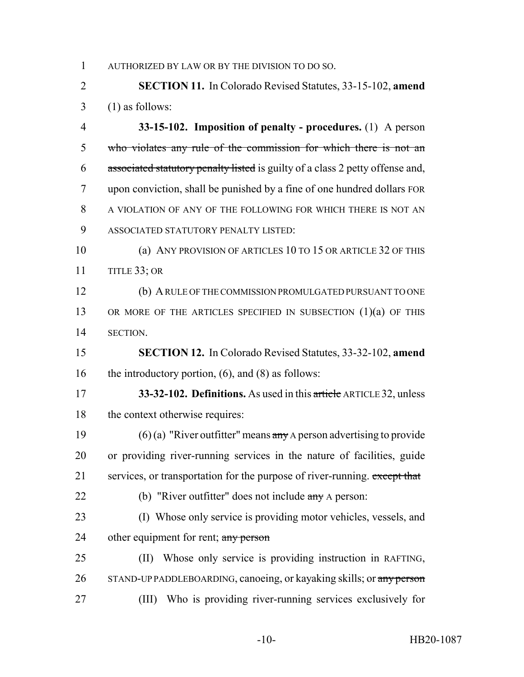AUTHORIZED BY LAW OR BY THE DIVISION TO DO SO.

 **SECTION 11.** In Colorado Revised Statutes, 33-15-102, **amend**  $3 \quad (1)$  as follows:

 **33-15-102. Imposition of penalty - procedures.** (1) A person who violates any rule of the commission for which there is not an associated statutory penalty listed is guilty of a class 2 petty offense and, upon conviction, shall be punished by a fine of one hundred dollars FOR A VIOLATION OF ANY OF THE FOLLOWING FOR WHICH THERE IS NOT AN ASSOCIATED STATUTORY PENALTY LISTED:

 (a) ANY PROVISION OF ARTICLES 10 TO 15 OR ARTICLE 32 OF THIS TITLE 33; OR

 (b) A RULE OF THE COMMISSION PROMULGATED PURSUANT TO ONE 13 OR MORE OF THE ARTICLES SPECIFIED IN SUBSECTION (1)(a) OF THIS SECTION.

 **SECTION 12.** In Colorado Revised Statutes, 33-32-102, **amend** 16 the introductory portion, (6), and (8) as follows:

 **33-32-102. Definitions.** As used in this article ARTICLE 32, unless 18 the context otherwise requires:

19 (6) (a) "River outfitter" means  $\frac{\partial^2 u}{\partial x^2}$  A person advertising to provide or providing river-running services in the nature of facilities, guide 21 services, or transportation for the purpose of river-running. except that

22 (b) "River outfitter" does not include any A person:

 (I) Whose only service is providing motor vehicles, vessels, and 24 other equipment for rent; any person

 (II) Whose only service is providing instruction in RAFTING, 26 STAND-UP PADDLEBOARDING, canoeing, or kayaking skills; or any person (III) Who is providing river-running services exclusively for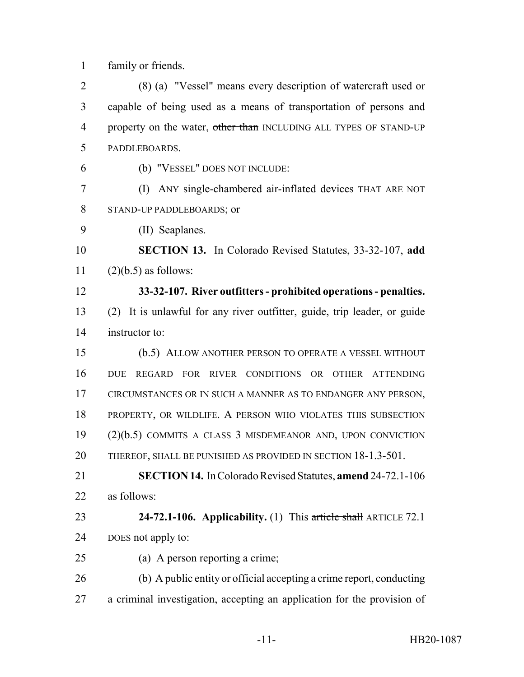family or friends.

 (8) (a) "Vessel" means every description of watercraft used or capable of being used as a means of transportation of persons and 4 property on the water, other than INCLUDING ALL TYPES OF STAND-UP PADDLEBOARDS.

- (b) "VESSEL" DOES NOT INCLUDE:
- (I) ANY single-chambered air-inflated devices THAT ARE NOT STAND-UP PADDLEBOARDS; or
- (II) Seaplanes.

 **SECTION 13.** In Colorado Revised Statutes, 33-32-107, **add** 11  $(2)(b.5)$  as follows:

- **33-32-107. River outfitters prohibited operations penalties.** (2) It is unlawful for any river outfitter, guide, trip leader, or guide instructor to:
- (b.5) ALLOW ANOTHER PERSON TO OPERATE A VESSEL WITHOUT DUE REGARD FOR RIVER CONDITIONS OR OTHER ATTENDING CIRCUMSTANCES OR IN SUCH A MANNER AS TO ENDANGER ANY PERSON, PROPERTY, OR WILDLIFE. A PERSON WHO VIOLATES THIS SUBSECTION (2)(b.5) COMMITS A CLASS 3 MISDEMEANOR AND, UPON CONVICTION THEREOF, SHALL BE PUNISHED AS PROVIDED IN SECTION 18-1.3-501.
- **SECTION 14.** In Colorado Revised Statutes, **amend** 24-72.1-106 as follows:
- **24-72.1-106. Applicability.** (1) This article shall ARTICLE 72.1 DOES not apply to:
- (a) A person reporting a crime;
- (b) A public entity or official accepting a crime report, conducting a criminal investigation, accepting an application for the provision of